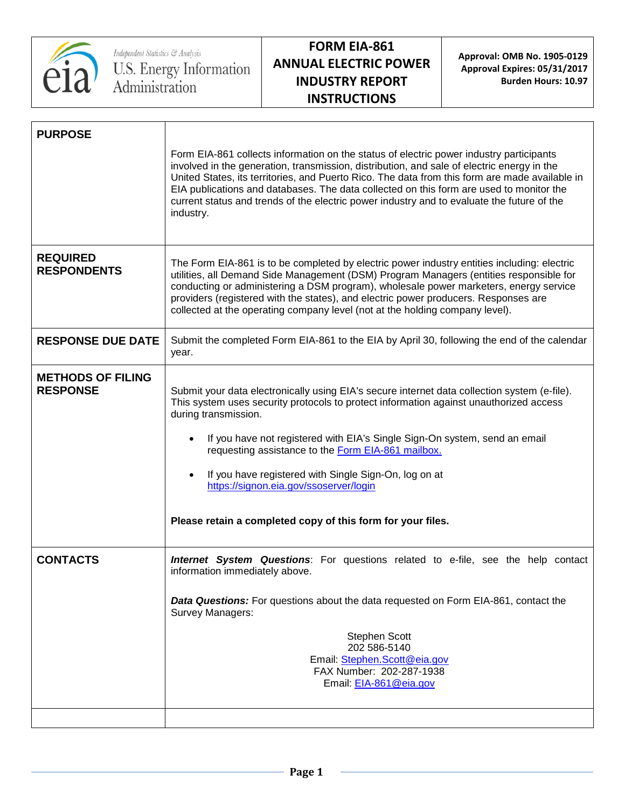

**Approval: OMB No. 1905-0129 Approval Expires: 05/31/2017 Burden Hours: 10.97**

| <b>PURPOSE</b>                              |                                                                                                                                                                                                                                                                                                                                                                                                                                                                                                                      |
|---------------------------------------------|----------------------------------------------------------------------------------------------------------------------------------------------------------------------------------------------------------------------------------------------------------------------------------------------------------------------------------------------------------------------------------------------------------------------------------------------------------------------------------------------------------------------|
|                                             | Form EIA-861 collects information on the status of electric power industry participants<br>involved in the generation, transmission, distribution, and sale of electric energy in the<br>United States, its territories, and Puerto Rico. The data from this form are made available in<br>EIA publications and databases. The data collected on this form are used to monitor the<br>current status and trends of the electric power industry and to evaluate the future of the<br>industry.                        |
| <b>REQUIRED</b><br><b>RESPONDENTS</b>       | The Form EIA-861 is to be completed by electric power industry entities including: electric<br>utilities, all Demand Side Management (DSM) Program Managers (entities responsible for<br>conducting or administering a DSM program), wholesale power marketers, energy service<br>providers (registered with the states), and electric power producers. Responses are<br>collected at the operating company level (not at the holding company level).                                                                |
| <b>RESPONSE DUE DATE</b>                    | Submit the completed Form EIA-861 to the EIA by April 30, following the end of the calendar<br>year.                                                                                                                                                                                                                                                                                                                                                                                                                 |
| <b>METHODS OF FILING</b><br><b>RESPONSE</b> | Submit your data electronically using EIA's secure internet data collection system (e-file).<br>This system uses security protocols to protect information against unauthorized access<br>during transmission.<br>If you have not registered with EIA's Single Sign-On system, send an email<br>requesting assistance to the Form EIA-861 mailbox.<br>If you have registered with Single Sign-On, log on at<br>https://signon.eia.gov/ssoserver/login<br>Please retain a completed copy of this form for your files. |
| <b>CONTACTS</b>                             | <b>Internet System Questions</b> : For questions related to e-file, see the help contact<br>information immediately above.<br><b>Data Questions:</b> For questions about the data requested on Form EIA-861, contact the                                                                                                                                                                                                                                                                                             |
|                                             | Survey Managers:<br><b>Stephen Scott</b><br>202 586-5140<br>Email: Stephen.Scott@eia.gov<br>FAX Number: 202-287-1938<br>Email: EIA-861@eia.gov                                                                                                                                                                                                                                                                                                                                                                       |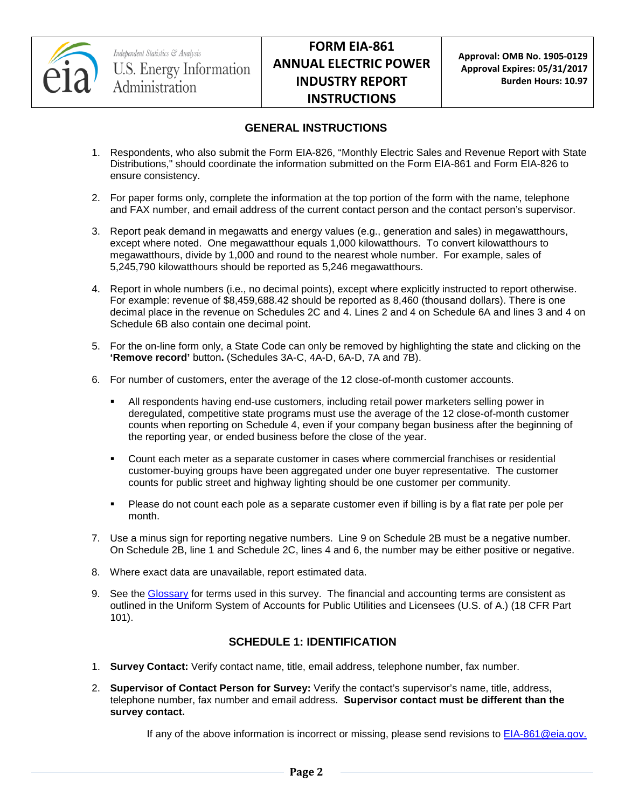

### **GENERAL INSTRUCTIONS**

- 1. Respondents, who also submit the Form EIA-826, "Monthly Electric Sales and Revenue Report with State Distributions," should coordinate the information submitted on the Form EIA-861 and Form EIA-826 to ensure consistency.
- 2. For paper forms only, complete the information at the top portion of the form with the name, telephone and FAX number, and email address of the current contact person and the contact person's supervisor.
- 3. Report peak demand in megawatts and energy values (e.g., generation and sales) in megawatthours, except where noted. One megawatthour equals 1,000 kilowatthours. To convert kilowatthours to megawatthours, divide by 1,000 and round to the nearest whole number. For example, sales of 5,245,790 kilowatthours should be reported as 5,246 megawatthours.
- 4. Report in whole numbers (i.e., no decimal points), except where explicitly instructed to report otherwise. For example: revenue of \$8,459,688.42 should be reported as 8,460 (thousand dollars). There is one decimal place in the revenue on Schedules 2C and 4. Lines 2 and 4 on Schedule 6A and lines 3 and 4 on Schedule 6B also contain one decimal point.
- 5. For the on-line form only, a State Code can only be removed by highlighting the state and clicking on the **'Remove record'** button**.** (Schedules 3A-C, 4A-D, 6A-D, 7A and 7B).
- 6. For number of customers, enter the average of the 12 close-of-month customer accounts.
	- All respondents having end-use customers, including retail power marketers selling power in deregulated, competitive state programs must use the average of the 12 close-of-month customer counts when reporting on Schedule 4, even if your company began business after the beginning of the reporting year, or ended business before the close of the year.
	- Count each meter as a separate customer in cases where commercial franchises or residential customer-buying groups have been aggregated under one buyer representative. The customer counts for public street and highway lighting should be one customer per community.
	- Please do not count each pole as a separate customer even if billing is by a flat rate per pole per month.
- 7. Use a minus sign for reporting negative numbers. Line 9 on Schedule 2B must be a negative number. On Schedule 2B, line 1 and Schedule 2C, lines 4 and 6, the number may be either positive or negative.
- 8. Where exact data are unavailable, report estimated data.
- 9. See the [Glossary](http://www.eia.gov/tools/glossary/) for terms used in this survey. The financial and accounting terms are consistent as outlined in the Uniform System of Accounts for Public Utilities and Licensees (U.S. of A.) (18 CFR Part 101).

### **SCHEDULE 1: IDENTIFICATION**

- 1. **Survey Contact:** Verify contact name, title, email address, telephone number, fax number.
- 2. **Supervisor of Contact Person for Survey:** Verify the contact's supervisor's name, title, address, telephone number, fax number and email address. **Supervisor contact must be different than the survey contact.**

If any of the above information is incorrect or missing, please send revisions to [EIA-861@eia.gov.](mailto:EIA-861@eia.gov)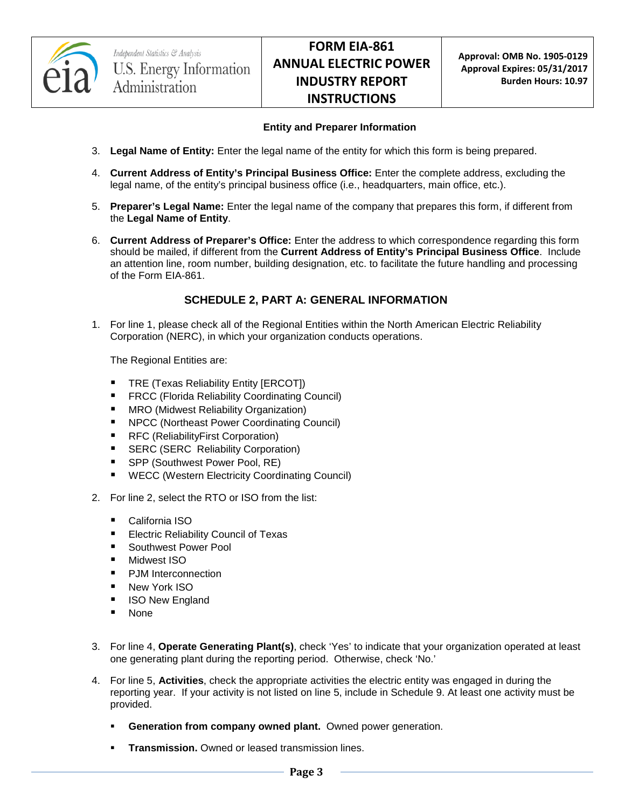

#### **Entity and Preparer Information**

- 3. **Legal Name of Entity:** Enter the legal name of the entity for which this form is being prepared.
- 4. **Current Address of Entity's Principal Business Office:** Enter the complete address, excluding the legal name, of the entity's principal business office (i.e., headquarters, main office, etc.).
- 5. **Preparer's Legal Name:** Enter the legal name of the company that prepares this form, if different from the **Legal Name of Entity**.
- 6. **Current Address of Preparer's Office:** Enter the address to which correspondence regarding this form should be mailed, if different from the **Current Address of Entity's Principal Business Office**. Include an attention line, room number, building designation, etc. to facilitate the future handling and processing of the Form EIA-861.

### **SCHEDULE 2, PART A: GENERAL INFORMATION**

1. For line 1, please check all of the Regional Entities within the North American Electric Reliability Corporation (NERC), in which your organization conducts operations.

The Regional Entities are:

- **TRE (Texas Reliability Entity [ERCOT])**
- **FRCC (Florida Reliability Coordinating Council)**
- **MRO** (Midwest Reliability Organization)
- NPCC (Northeast Power Coordinating Council)
- RFC (ReliabilityFirst Corporation)
- **SERC (SERC Reliability Corporation)**
- SPP (Southwest Power Pool, RE)
- **WECC (Western Electricity Coordinating Council)**
- 2. For line 2, select the RTO or ISO from the list:
	- California ISO
	- **Electric Reliability Council of Texas**
	- Southwest Power Pool
	- Midwest ISO
	- **PJM** Interconnection
	- **New York ISO**
	- **I** ISO New England
	- None
- 3. For line 4, **Operate Generating Plant(s)**, check 'Yes' to indicate that your organization operated at least one generating plant during the reporting period. Otherwise, check 'No.'
- 4. For line 5, **Activities**, check the appropriate activities the electric entity was engaged in during the reporting year. If your activity is not listed on line 5, include in Schedule 9. At least one activity must be provided.
	- **Generation from company owned plant.** Owned power generation.
	- **Transmission.** Owned or leased transmission lines.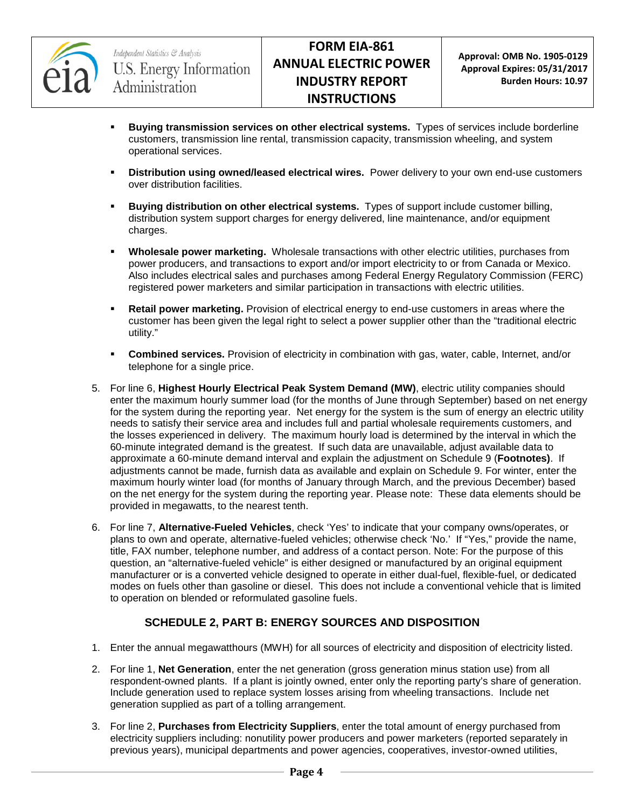

- **Buying transmission services on other electrical systems.** Types of services include borderline customers, transmission line rental, transmission capacity, transmission wheeling, and system operational services.
- **Distribution using owned/leased electrical wires.** Power delivery to your own end-use customers over distribution facilities.
- **Buying distribution on other electrical systems.** Types of support include customer billing, distribution system support charges for energy delivered, line maintenance, and/or equipment charges.
- **Wholesale power marketing.** Wholesale transactions with other electric utilities, purchases from power producers, and transactions to export and/or import electricity to or from Canada or Mexico. Also includes electrical sales and purchases among Federal Energy Regulatory Commission (FERC) registered power marketers and similar participation in transactions with electric utilities.
- **Retail power marketing.** Provision of electrical energy to end-use customers in areas where the customer has been given the legal right to select a power supplier other than the "traditional electric utility."
- **Combined services.** Provision of electricity in combination with gas, water, cable, Internet, and/or telephone for a single price.
- 5. For line 6, **Highest Hourly Electrical Peak System Demand (MW)**, electric utility companies should enter the maximum hourly summer load (for the months of June through September) based on net energy for the system during the reporting year. Net energy for the system is the sum of energy an electric utility needs to satisfy their service area and includes full and partial wholesale requirements customers, and the losses experienced in delivery. The maximum hourly load is determined by the interval in which the 60-minute integrated demand is the greatest. If such data are unavailable, adjust available data to approximate a 60-minute demand interval and explain the adjustment on Schedule 9 (**Footnotes)**. If adjustments cannot be made, furnish data as available and explain on Schedule 9. For winter, enter the maximum hourly winter load (for months of January through March, and the previous December) based on the net energy for the system during the reporting year. Please note: These data elements should be provided in megawatts, to the nearest tenth.
- 6. For line 7, **Alternative-Fueled Vehicles**, check 'Yes' to indicate that your company owns/operates, or plans to own and operate, alternative-fueled vehicles; otherwise check 'No.' If "Yes," provide the name, title, FAX number, telephone number, and address of a contact person. Note: For the purpose of this question, an "alternative-fueled vehicle" is either designed or manufactured by an original equipment manufacturer or is a converted vehicle designed to operate in either dual-fuel, flexible-fuel, or dedicated modes on fuels other than gasoline or diesel. This does not include a conventional vehicle that is limited to operation on blended or reformulated gasoline fuels.

### **SCHEDULE 2, PART B: ENERGY SOURCES AND DISPOSITION**

- 1. Enter the annual megawatthours (MWH) for all sources of electricity and disposition of electricity listed.
- 2. For line 1, **Net Generation**, enter the net generation (gross generation minus station use) from all respondent-owned plants. If a plant is jointly owned, enter only the reporting party's share of generation. Include generation used to replace system losses arising from wheeling transactions. Include net generation supplied as part of a tolling arrangement.
- 3. For line 2, **Purchases from Electricity Suppliers**, enter the total amount of energy purchased from electricity suppliers including: nonutility power producers and power marketers (reported separately in previous years), municipal departments and power agencies, cooperatives, investor-owned utilities,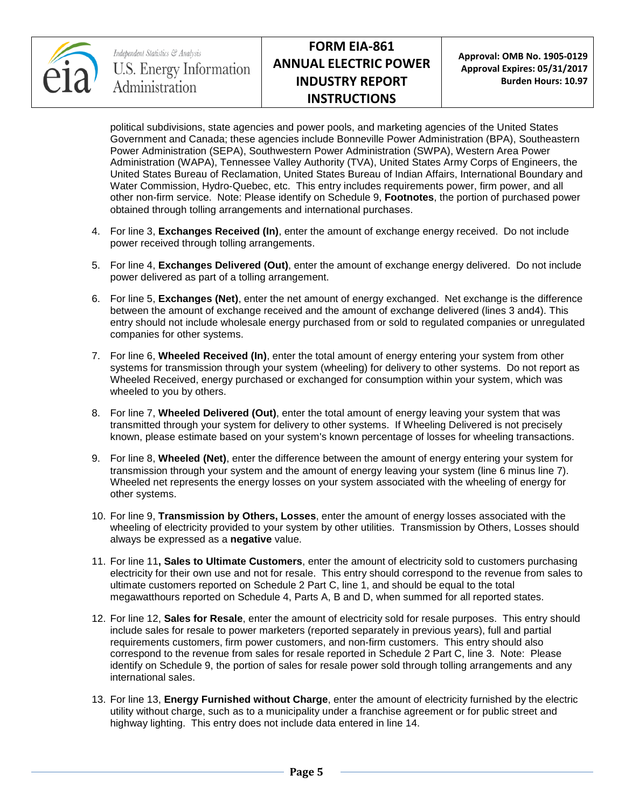

**Approval: OMB No. 1905-0129 Approval Expires: 05/31/2017 Burden Hours: 10.97**

political subdivisions, state agencies and power pools, and marketing agencies of the United States Government and Canada; these agencies include Bonneville Power Administration (BPA), Southeastern Power Administration (SEPA), Southwestern Power Administration (SWPA), Western Area Power Administration (WAPA), Tennessee Valley Authority (TVA), United States Army Corps of Engineers, the United States Bureau of Reclamation, United States Bureau of Indian Affairs, International Boundary and Water Commission, Hydro-Quebec, etc. This entry includes requirements power, firm power, and all other non-firm service. Note: Please identify on Schedule 9, **Footnotes**, the portion of purchased power obtained through tolling arrangements and international purchases.

- 4. For line 3, **Exchanges Received (In)**, enter the amount of exchange energy received. Do not include power received through tolling arrangements.
- 5. For line 4, **Exchanges Delivered (Out)**, enter the amount of exchange energy delivered. Do not include power delivered as part of a tolling arrangement.
- 6. For line 5, **Exchanges (Net)**, enter the net amount of energy exchanged. Net exchange is the difference between the amount of exchange received and the amount of exchange delivered (lines 3 and4). This entry should not include wholesale energy purchased from or sold to regulated companies or unregulated companies for other systems.
- 7. For line 6, **Wheeled Received (In)**, enter the total amount of energy entering your system from other systems for transmission through your system (wheeling) for delivery to other systems. Do not report as Wheeled Received, energy purchased or exchanged for consumption within your system, which was wheeled to you by others.
- 8. For line 7, **Wheeled Delivered (Out)**, enter the total amount of energy leaving your system that was transmitted through your system for delivery to other systems. If Wheeling Delivered is not precisely known, please estimate based on your system's known percentage of losses for wheeling transactions.
- 9. For line 8, **Wheeled (Net)**, enter the difference between the amount of energy entering your system for transmission through your system and the amount of energy leaving your system (line 6 minus line 7). Wheeled net represents the energy losses on your system associated with the wheeling of energy for other systems.
- 10. For line 9, **Transmission by Others, Losses**, enter the amount of energy losses associated with the wheeling of electricity provided to your system by other utilities. Transmission by Others, Losses should always be expressed as a **negative** value.
- 11. For line 11**, Sales to Ultimate Customers**, enter the amount of electricity sold to customers purchasing electricity for their own use and not for resale. This entry should correspond to the revenue from sales to ultimate customers reported on Schedule 2 Part C, line 1, and should be equal to the total megawatthours reported on Schedule 4, Parts A, B and D, when summed for all reported states.
- 12. For line 12, **Sales for Resale**, enter the amount of electricity sold for resale purposes. This entry should include sales for resale to power marketers (reported separately in previous years), full and partial requirements customers, firm power customers, and non-firm customers. This entry should also correspond to the revenue from sales for resale reported in Schedule 2 Part C, line 3. Note: Please identify on Schedule 9, the portion of sales for resale power sold through tolling arrangements and any international sales.
- 13. For line 13, **Energy Furnished without Charge**, enter the amount of electricity furnished by the electric utility without charge, such as to a municipality under a franchise agreement or for public street and highway lighting. This entry does not include data entered in line 14.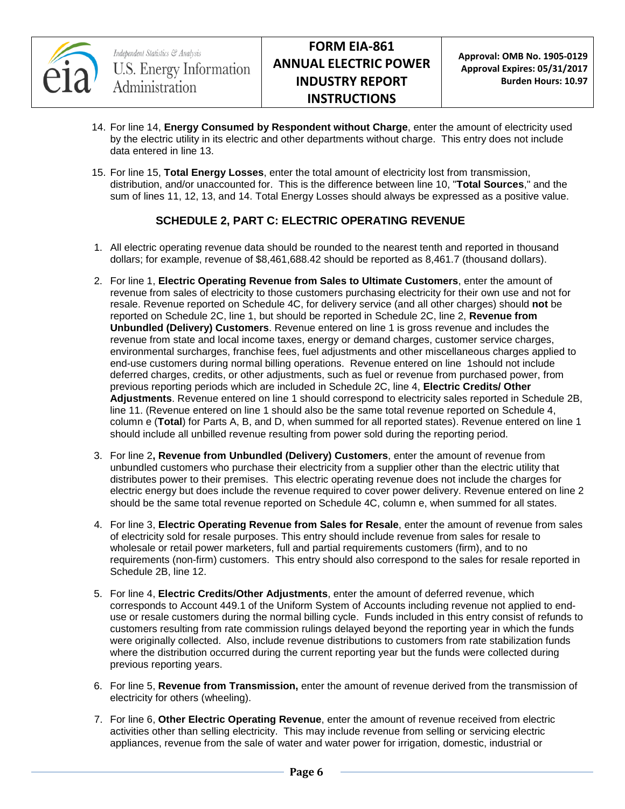

- 14. For line 14, **Energy Consumed by Respondent without Charge**, enter the amount of electricity used by the electric utility in its electric and other departments without charge. This entry does not include data entered in line 13.
- 15. For line 15, **Total Energy Losses**, enter the total amount of electricity lost from transmission, distribution, and/or unaccounted for. This is the difference between line 10, "**Total Sources**," and the sum of lines 11, 12, 13, and 14. Total Energy Losses should always be expressed as a positive value.

### **SCHEDULE 2, PART C: ELECTRIC OPERATING REVENUE**

- 1. All electric operating revenue data should be rounded to the nearest tenth and reported in thousand dollars; for example, revenue of \$8,461,688.42 should be reported as 8,461.7 (thousand dollars).
- 2. For line 1, **Electric Operating Revenue from Sales to Ultimate Customers**, enter the amount of revenue from sales of electricity to those customers purchasing electricity for their own use and not for resale. Revenue reported on Schedule 4C, for delivery service (and all other charges) should **not** be reported on Schedule 2C, line 1, but should be reported in Schedule 2C, line 2, **Revenue from Unbundled (Delivery) Customers**. Revenue entered on line 1 is gross revenue and includes the revenue from state and local income taxes, energy or demand charges, customer service charges, environmental surcharges, franchise fees, fuel adjustments and other miscellaneous charges applied to end-use customers during normal billing operations. Revenue entered on line 1should not include deferred charges, credits, or other adjustments, such as fuel or revenue from purchased power, from previous reporting periods which are included in Schedule 2C, line 4, **Electric Credits/ Other Adjustments**. Revenue entered on line 1 should correspond to electricity sales reported in Schedule 2B, line 11. (Revenue entered on line 1 should also be the same total revenue reported on Schedule 4, column e (**Total**) for Parts A, B, and D, when summed for all reported states). Revenue entered on line 1 should include all unbilled revenue resulting from power sold during the reporting period.
- 3. For line 2**, Revenue from Unbundled (Delivery) Customers**, enter the amount of revenue from unbundled customers who purchase their electricity from a supplier other than the electric utility that distributes power to their premises. This electric operating revenue does not include the charges for electric energy but does include the revenue required to cover power delivery. Revenue entered on line 2 should be the same total revenue reported on Schedule 4C, column e, when summed for all states.
- 4. For line 3, **Electric Operating Revenue from Sales for Resale**, enter the amount of revenue from sales of electricity sold for resale purposes. This entry should include revenue from sales for resale to wholesale or retail power marketers, full and partial requirements customers (firm), and to no requirements (non-firm) customers. This entry should also correspond to the sales for resale reported in Schedule 2B, line 12.
- 5. For line 4, **Electric Credits/Other Adjustments**, enter the amount of deferred revenue, which corresponds to Account 449.1 of the Uniform System of Accounts including revenue not applied to enduse or resale customers during the normal billing cycle. Funds included in this entry consist of refunds to customers resulting from rate commission rulings delayed beyond the reporting year in which the funds were originally collected. Also, include revenue distributions to customers from rate stabilization funds where the distribution occurred during the current reporting year but the funds were collected during previous reporting years.
- 6. For line 5, **Revenue from Transmission,** enter the amount of revenue derived from the transmission of electricity for others (wheeling).
- 7. For line 6, **Other Electric Operating Revenue**, enter the amount of revenue received from electric activities other than selling electricity. This may include revenue from selling or servicing electric appliances, revenue from the sale of water and water power for irrigation, domestic, industrial or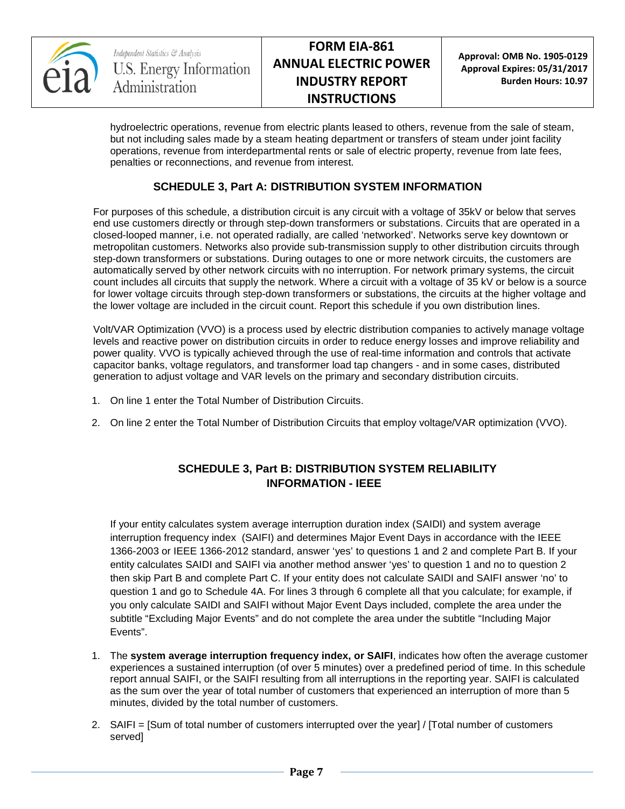

hydroelectric operations, revenue from electric plants leased to others, revenue from the sale of steam, but not including sales made by a steam heating department or transfers of steam under joint facility operations, revenue from interdepartmental rents or sale of electric property, revenue from late fees, penalties or reconnections, and revenue from interest.

### **SCHEDULE 3, Part A: DISTRIBUTION SYSTEM INFORMATION**

For purposes of this schedule, a distribution circuit is any circuit with a voltage of 35kV or below that serves end use customers directly or through step-down transformers or substations. Circuits that are operated in a closed-looped manner, i.e. not operated radially, are called 'networked'. Networks serve key downtown or metropolitan customers. Networks also provide sub-transmission supply to other distribution circuits through step-down transformers or substations. During outages to one or more network circuits, the customers are automatically served by other network circuits with no interruption. For network primary systems, the circuit count includes all circuits that supply the network. Where a circuit with a voltage of 35 kV or below is a source for lower voltage circuits through step-down transformers or substations, the circuits at the higher voltage and the lower voltage are included in the circuit count. Report this schedule if you own distribution lines.

Volt/VAR Optimization (VVO) is a process used by electric distribution companies to actively manage voltage levels and reactive power on distribution circuits in order to reduce energy losses and improve reliability and power quality. VVO is typically achieved through the use of real-time information and controls that activate capacitor banks, voltage regulators, and transformer load tap changers - and in some cases, distributed generation to adjust voltage and VAR levels on the primary and secondary distribution circuits.

- 1. On line 1 enter the Total Number of Distribution Circuits.
- 2. On line 2 enter the Total Number of Distribution Circuits that employ voltage/VAR optimization (VVO).

## **SCHEDULE 3, Part B: DISTRIBUTION SYSTEM RELIABILITY INFORMATION - IEEE**

If your entity calculates system average interruption duration index (SAIDI) and system average interruption frequency index (SAIFI) and determines Major Event Days in accordance with the IEEE 1366-2003 or IEEE 1366-2012 standard, answer 'yes' to questions 1 and 2 and complete Part B. If your entity calculates SAIDI and SAIFI via another method answer 'yes' to question 1 and no to question 2 then skip Part B and complete Part C. If your entity does not calculate SAIDI and SAIFI answer 'no' to question 1 and go to Schedule 4A. For lines 3 through 6 complete all that you calculate; for example, if you only calculate SAIDI and SAIFI without Major Event Days included, complete the area under the subtitle "Excluding Major Events" and do not complete the area under the subtitle "Including Major Events".

- 1. The **system average interruption frequency index, or SAIFI**, indicates how often the average customer experiences a sustained interruption (of over 5 minutes) over a predefined period of time. In this schedule report annual SAIFI, or the SAIFI resulting from all interruptions in the reporting year. SAIFI is calculated as the sum over the year of total number of customers that experienced an interruption of more than 5 minutes, divided by the total number of customers.
- 2. SAIFI = [Sum of total number of customers interrupted over the year] / [Total number of customers served]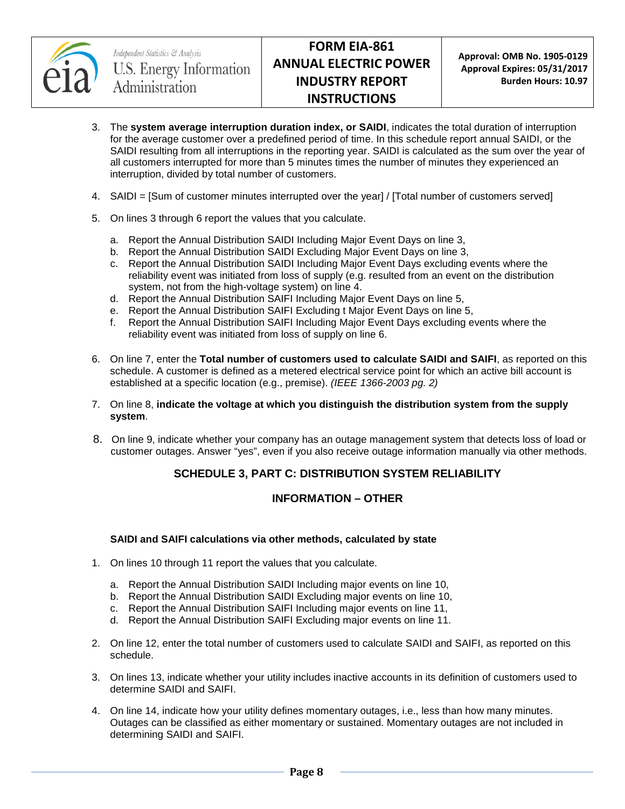

- 3. The **system average interruption duration index, or SAIDI**, indicates the total duration of interruption for the average customer over a predefined period of time. In this schedule report annual SAIDI, or the SAIDI resulting from all interruptions in the reporting year. SAIDI is calculated as the sum over the year of all customers interrupted for more than 5 minutes times the number of minutes they experienced an interruption, divided by total number of customers.
- 4. SAIDI = [Sum of customer minutes interrupted over the year] / [Total number of customers served]
- 5. On lines 3 through 6 report the values that you calculate.
	- a. Report the Annual Distribution SAIDI Including Major Event Days on line 3,
	- b. Report the Annual Distribution SAIDI Excluding Major Event Days on line 3,
	- c. Report the Annual Distribution SAIDI Including Major Event Days excluding events where the reliability event was initiated from loss of supply (e.g. resulted from an event on the distribution system, not from the high-voltage system) on line 4.
	- d. Report the Annual Distribution SAIFI Including Major Event Days on line 5,
	- e. Report the Annual Distribution SAIFI Excluding t Major Event Days on line 5,
	- f. Report the Annual Distribution SAIFI Including Major Event Days excluding events where the reliability event was initiated from loss of supply on line 6.
- 6. On line 7, enter the **Total number of customers used to calculate SAIDI and SAIFI**, as reported on this schedule. A customer is defined as a metered electrical service point for which an active bill account is established at a specific location (e.g., premise). *(IEEE 1366-2003 pg. 2)*

#### 7. On line 8, **indicate the voltage at which you distinguish the distribution system from the supply system**.

8. On line 9, indicate whether your company has an outage management system that detects loss of load or customer outages. Answer "yes", even if you also receive outage information manually via other methods.

### **SCHEDULE 3, PART C: DISTRIBUTION SYSTEM RELIABILITY**

#### **INFORMATION – OTHER**

#### **SAIDI and SAIFI calculations via other methods, calculated by state**

- 1. On lines 10 through 11 report the values that you calculate.
	- a. Report the Annual Distribution SAIDI Including major events on line 10,
	- b. Report the Annual Distribution SAIDI Excluding major events on line 10,
	- c. Report the Annual Distribution SAIFI Including major events on line 11,
	- d. Report the Annual Distribution SAIFI Excluding major events on line 11.
- 2. On line 12, enter the total number of customers used to calculate SAIDI and SAIFI, as reported on this schedule.
- 3. On lines 13, indicate whether your utility includes inactive accounts in its definition of customers used to determine SAIDI and SAIFI.
- 4. On line 14, indicate how your utility defines momentary outages, i.e., less than how many minutes. Outages can be classified as either momentary or sustained. Momentary outages are not included in determining SAIDI and SAIFI.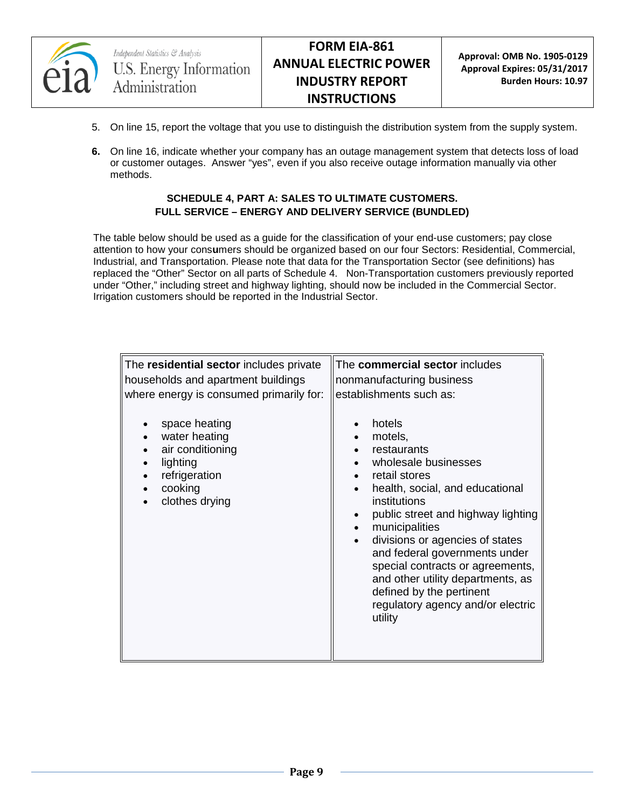

- 5. On line 15, report the voltage that you use to distinguish the distribution system from the supply system.
- **6.** On line 16, indicate whether your company has an outage management system that detects loss of load or customer outages. Answer "yes", even if you also receive outage information manually via other methods.

#### **SCHEDULE 4, PART A: SALES TO ULTIMATE CUSTOMERS. FULL SERVICE – ENERGY AND DELIVERY SERVICE (BUNDLED)**

The table below should be used as a guide for the classification of your end-use customers; pay close attention to how your cons**u**mers should be organized based on our four Sectors: Residential, Commercial, Industrial, and Transportation. Please note that data for the Transportation Sector (see definitions) has replaced the "Other" Sector on all parts of Schedule 4. Non-Transportation customers previously reported under "Other," including street and highway lighting, should now be included in the Commercial Sector. Irrigation customers should be reported in the Industrial Sector.

| The residential sector includes private<br>households and apartment buildings<br>where energy is consumed primarily for:<br>space heating<br>water heating<br>air conditioning<br>lighting<br>refrigeration<br>cooking<br>clothes drying | The commercial sector includes<br>nonmanufacturing business<br>establishments such as:<br>hotels<br>motels,<br>restaurants<br>wholesale businesses<br>retail stores<br>health, social, and educational<br>institutions<br>public street and highway lighting<br>municipalities<br>$\bullet$<br>divisions or agencies of states<br>and federal governments under<br>special contracts or agreements,<br>and other utility departments, as<br>defined by the pertinent<br>regulatory agency and/or electric<br>utility |
|------------------------------------------------------------------------------------------------------------------------------------------------------------------------------------------------------------------------------------------|----------------------------------------------------------------------------------------------------------------------------------------------------------------------------------------------------------------------------------------------------------------------------------------------------------------------------------------------------------------------------------------------------------------------------------------------------------------------------------------------------------------------|
|                                                                                                                                                                                                                                          |                                                                                                                                                                                                                                                                                                                                                                                                                                                                                                                      |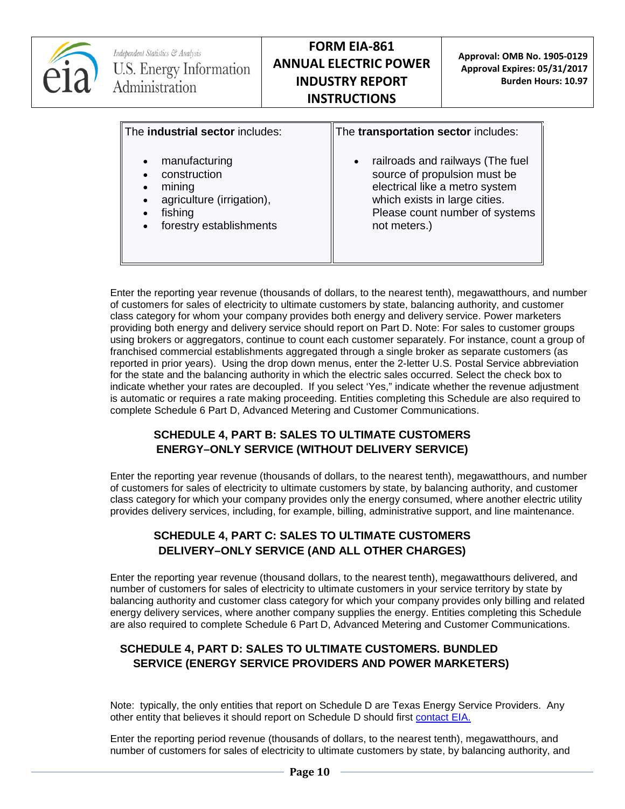

Enter the reporting year revenue (thousands of dollars, to the nearest tenth), megawatthours, and number of customers for sales of electricity to ultimate customers by state, balancing authority, and customer class category for whom your company provides both energy and delivery service. Power marketers providing both energy and delivery service should report on Part D. Note: For sales to customer groups using brokers or aggregators, continue to count each customer separately. For instance, count a group of franchised commercial establishments aggregated through a single broker as separate customers (as reported in prior years). Using the drop down menus, enter the 2-letter U.S. Postal Service abbreviation for the state and the balancing authority in which the electric sales occurred. Select the check box to indicate whether your rates are decoupled. If you select 'Yes," indicate whether the revenue adjustment is automatic or requires a rate making proceeding. Entities completing this Schedule are also required to complete Schedule 6 Part D, Advanced Metering and Customer Communications.

## **SCHEDULE 4, PART B: SALES TO ULTIMATE CUSTOMERS ENERGY–ONLY SERVICE (WITHOUT DELIVERY SERVICE)**

Enter the reporting year revenue (thousands of dollars, to the nearest tenth), megawatthours, and number of customers for sales of electricity to ultimate customers by state, by balancing authority, and customer class category for which your company provides only the energy consumed, where another electric utility provides delivery services, including, for example, billing, administrative support, and line maintenance.

## **SCHEDULE 4, PART C: SALES TO ULTIMATE CUSTOMERS DELIVERY–ONLY SERVICE (AND ALL OTHER CHARGES)**

Enter the reporting year revenue (thousand dollars, to the nearest tenth), megawatthours delivered, and number of customers for sales of electricity to ultimate customers in your service territory by state by balancing authority and customer class category for which your company provides only billing and related energy delivery services, where another company supplies the energy. Entities completing this Schedule are also required to complete Schedule 6 Part D, Advanced Metering and Customer Communications.

### **SCHEDULE 4, PART D: SALES TO ULTIMATE CUSTOMERS. BUNDLED SERVICE (ENERGY SERVICE PROVIDERS AND POWER MARKETERS)**

Note: typically, the only entities that report on Schedule D are Texas Energy Service Providers. Any other entity that believes it should report on Schedule D should first [contact EIA.](mailto:EIA-861@eia.gov)

Enter the reporting period revenue (thousands of dollars, to the nearest tenth), megawatthours, and number of customers for sales of electricity to ultimate customers by state, by balancing authority, and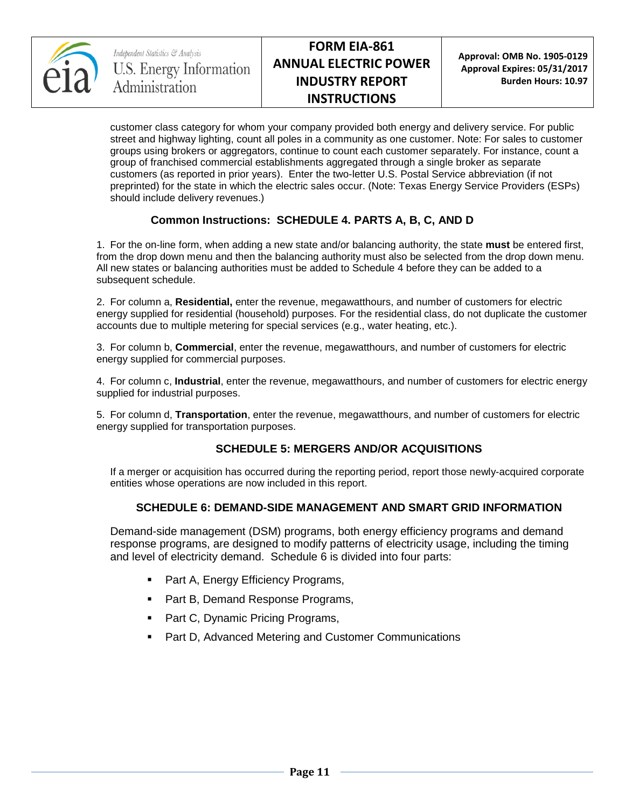

**Approval: OMB No. 1905-0129 Approval Expires: 05/31/2017 Burden Hours: 10.97**

customer class category for whom your company provided both energy and delivery service. For public street and highway lighting, count all poles in a community as one customer. Note: For sales to customer groups using brokers or aggregators, continue to count each customer separately. For instance, count a group of franchised commercial establishments aggregated through a single broker as separate customers (as reported in prior years). Enter the two-letter U.S. Postal Service abbreviation (if not preprinted) for the state in which the electric sales occur. (Note: Texas Energy Service Providers (ESPs) should include delivery revenues.)

## **Common Instructions: SCHEDULE 4. PARTS A, B, C, AND D**

1. For the on-line form, when adding a new state and/or balancing authority, the state **must** be entered first, from the drop down menu and then the balancing authority must also be selected from the drop down menu. All new states or balancing authorities must be added to Schedule 4 before they can be added to a subsequent schedule.

2. For column a, **Residential,** enter the revenue, megawatthours, and number of customers for electric energy supplied for residential (household) purposes. For the residential class, do not duplicate the customer accounts due to multiple metering for special services (e.g., water heating, etc.).

3. For column b, **Commercial**, enter the revenue, megawatthours, and number of customers for electric energy supplied for commercial purposes.

4. For column c, **Industrial**, enter the revenue, megawatthours, and number of customers for electric energy supplied for industrial purposes.

5. For column d, **Transportation**, enter the revenue, megawatthours, and number of customers for electric energy supplied for transportation purposes.

### **SCHEDULE 5: MERGERS AND/OR ACQUISITIONS**

If a merger or acquisition has occurred during the reporting period, report those newly-acquired corporate entities whose operations are now included in this report.

### **SCHEDULE 6: DEMAND-SIDE MANAGEMENT AND SMART GRID INFORMATION**

Demand-side management (DSM) programs, both energy efficiency programs and demand response programs, are designed to modify patterns of electricity usage, including the timing and level of electricity demand. Schedule 6 is divided into four parts:

- Part A, Energy Efficiency Programs,
- Part B, Demand Response Programs,
- Part C, Dynamic Pricing Programs,
- Part D, Advanced Metering and Customer Communications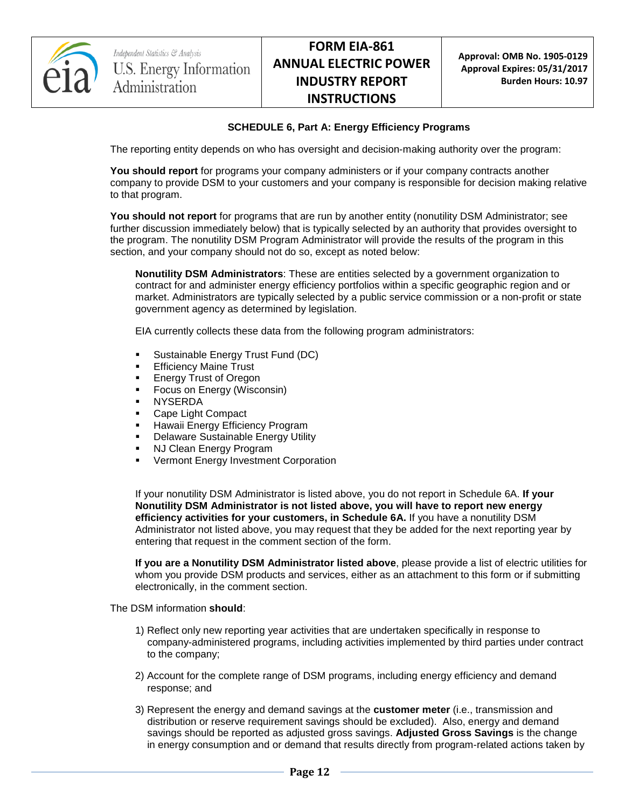

#### **SCHEDULE 6, Part A: Energy Efficiency Programs**

The reporting entity depends on who has oversight and decision-making authority over the program:

**You should report** for programs your company administers or if your company contracts another company to provide DSM to your customers and your company is responsible for decision making relative to that program.

**You should not report** for programs that are run by another entity (nonutility DSM Administrator; see further discussion immediately below) that is typically selected by an authority that provides oversight to the program. The nonutility DSM Program Administrator will provide the results of the program in this section, and your company should not do so, except as noted below:

**Nonutility DSM Administrators**: These are entities selected by a government organization to contract for and administer energy efficiency portfolios within a specific geographic region and or market. Administrators are typically selected by a public service commission or a non-profit or state government agency as determined by legislation.

EIA currently collects these data from the following program administrators:

- Sustainable Energy Trust Fund (DC)
- Efficiency Maine Trust
- Energy Trust of Oregon
- Focus on Energy (Wisconsin)
- NYSERDA
- Cape Light Compact
- Hawaii Energy Efficiency Program
- Delaware Sustainable Energy Utility
- NJ Clean Energy Program
- Vermont Energy Investment Corporation

If your nonutility DSM Administrator is listed above, you do not report in Schedule 6A. **If your Nonutility DSM Administrator is not listed above, you will have to report new energy efficiency activities for your customers, in Schedule 6A.** If you have a nonutility DSM Administrator not listed above, you may request that they be added for the next reporting year by entering that request in the comment section of the form.

**If you are a Nonutility DSM Administrator listed above**, please provide a list of electric utilities for whom you provide DSM products and services, either as an attachment to this form or if submitting electronically, in the comment section.

The DSM information **should**:

- 1) Reflect only new reporting year activities that are undertaken specifically in response to company-administered programs, including activities implemented by third parties under contract to the company;
- 2) Account for the complete range of DSM programs, including energy efficiency and demand response; and
- 3) Represent the energy and demand savings at the **customer meter** (i.e., transmission and distribution or reserve requirement savings should be excluded). Also, energy and demand savings should be reported as adjusted gross savings. **Adjusted Gross Savings** is the change in energy consumption and or demand that results directly from program-related actions taken by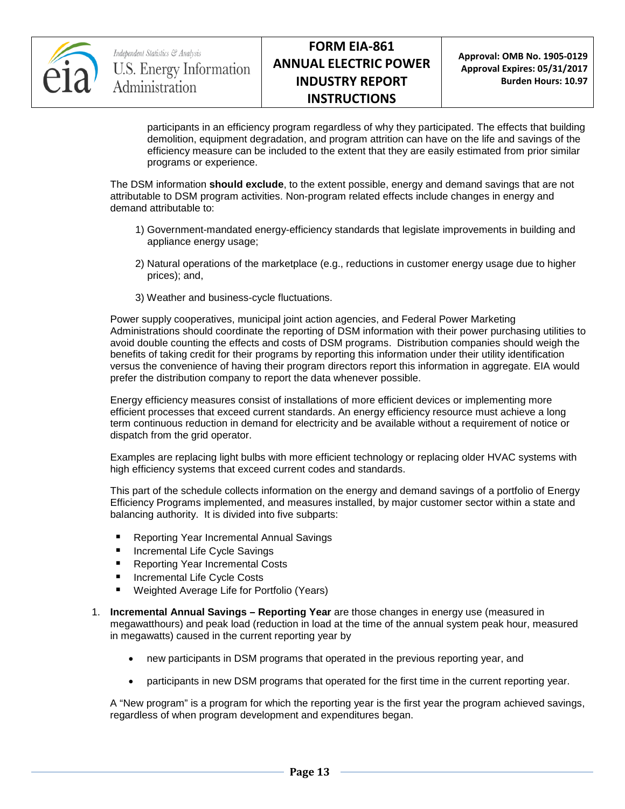

participants in an efficiency program regardless of why they participated. The effects that building demolition, equipment degradation, and program attrition can have on the life and savings of the efficiency measure can be included to the extent that they are easily estimated from prior similar programs or experience.

The DSM information **should exclude**, to the extent possible, energy and demand savings that are not attributable to DSM program activities. Non-program related effects include changes in energy and demand attributable to:

- 1) Government-mandated energy-efficiency standards that legislate improvements in building and appliance energy usage;
- 2) Natural operations of the marketplace (e.g., reductions in customer energy usage due to higher prices); and,
- 3) Weather and business-cycle fluctuations.

Power supply cooperatives, municipal joint action agencies, and Federal Power Marketing Administrations should coordinate the reporting of DSM information with their power purchasing utilities to avoid double counting the effects and costs of DSM programs. Distribution companies should weigh the benefits of taking credit for their programs by reporting this information under their utility identification versus the convenience of having their program directors report this information in aggregate. EIA would prefer the distribution company to report the data whenever possible.

Energy efficiency measures consist of installations of more efficient devices or implementing more efficient processes that exceed current standards. An energy efficiency resource must achieve a long term continuous reduction in demand for electricity and be available without a requirement of notice or dispatch from the grid operator.

Examples are replacing light bulbs with more efficient technology or replacing older HVAC systems with high efficiency systems that exceed current codes and standards.

This part of the schedule collects information on the energy and demand savings of a portfolio of Energy Efficiency Programs implemented, and measures installed, by major customer sector within a state and balancing authority. It is divided into five subparts:

- **Reporting Year Incremental Annual Savings**
- Incremental Life Cycle Savings
- Reporting Year Incremental Costs
- Incremental Life Cycle Costs
- Weighted Average Life for Portfolio (Years)
- 1. **Incremental Annual Savings – Reporting Year** are those changes in energy use (measured in megawatthours) and peak load (reduction in load at the time of the annual system peak hour, measured in megawatts) caused in the current reporting year by
	- new participants in DSM programs that operated in the previous reporting year, and
	- participants in new DSM programs that operated for the first time in the current reporting year.

A "New program" is a program for which the reporting year is the first year the program achieved savings, regardless of when program development and expenditures began.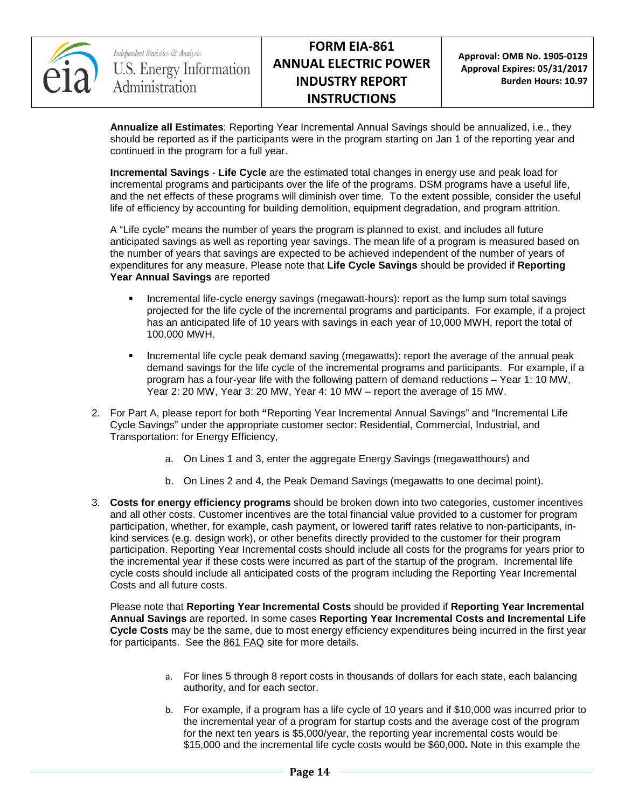

**Annualize all Estimates**: Reporting Year Incremental Annual Savings should be annualized, i.e., they should be reported as if the participants were in the program starting on Jan 1 of the reporting year and continued in the program for a full year.

**Incremental Savings** - **Life Cycle** are the estimated total changes in energy use and peak load for incremental programs and participants over the life of the programs. DSM programs have a useful life, and the net effects of these programs will diminish over time. To the extent possible, consider the useful life of efficiency by accounting for building demolition, equipment degradation, and program attrition.

A "Life cycle" means the number of years the program is planned to exist, and includes all future anticipated savings as well as reporting year savings. The mean life of a program is measured based on the number of years that savings are expected to be achieved independent of the number of years of expenditures for any measure. Please note that **Life Cycle Savings** should be provided if **Reporting Year Annual Savings** are reported

- Incremental life-cycle energy savings (megawatt-hours): report as the lump sum total savings projected for the life cycle of the incremental programs and participants. For example, if a project has an anticipated life of 10 years with savings in each year of 10,000 MWH, report the total of 100,000 MWH.
- Incremental life cycle peak demand saving (megawatts): report the average of the annual peak demand savings for the life cycle of the incremental programs and participants. For example, if a program has a four-year life with the following pattern of demand reductions – Year 1: 10 MW, Year 2: 20 MW, Year 3: 20 MW, Year 4: 10 MW – report the average of 15 MW.
- 2. For Part A, please report for both **"**Reporting Year Incremental Annual Savings" and "Incremental Life Cycle Savings" under the appropriate customer sector: Residential, Commercial, Industrial, and Transportation: for Energy Efficiency,
	- a. On Lines 1 and 3, enter the aggregate Energy Savings (megawatthours) and
	- b. On Lines 2 and 4, the Peak Demand Savings (megawatts to one decimal point).
- 3. **Costs for energy efficiency programs** should be broken down into two categories, customer incentives and all other costs. Customer incentives are the total financial value provided to a customer for program participation, whether, for example, cash payment, or lowered tariff rates relative to non-participants, inkind services (e.g. design work), or other benefits directly provided to the customer for their program participation. Reporting Year Incremental costs should include all costs for the programs for years prior to the incremental year if these costs were incurred as part of the startup of the program. Incremental life cycle costs should include all anticipated costs of the program including the Reporting Year Incremental Costs and all future costs.

Please note that **Reporting Year Incremental Costs** should be provided if **Reporting Year Incremental Annual Savings** are reported. In some cases **Reporting Year Incremental Costs and Incremental Life Cycle Costs** may be the same, due to most energy efficiency expenditures being incurred in the first year for participants. See the [861 FAQ](http://www.eia.gov/survey/form/eia_861/faqs.cfm) site for more details.

- a. For lines 5 through 8 report costs in thousands of dollars for each state, each balancing authority, and for each sector.
- b. For example, if a program has a life cycle of 10 years and if \$10,000 was incurred prior to the incremental year of a program for startup costs and the average cost of the program for the next ten years is \$5,000/year, the reporting year incremental costs would be \$15,000 and the incremental life cycle costs would be \$60,000**.** Note in this example the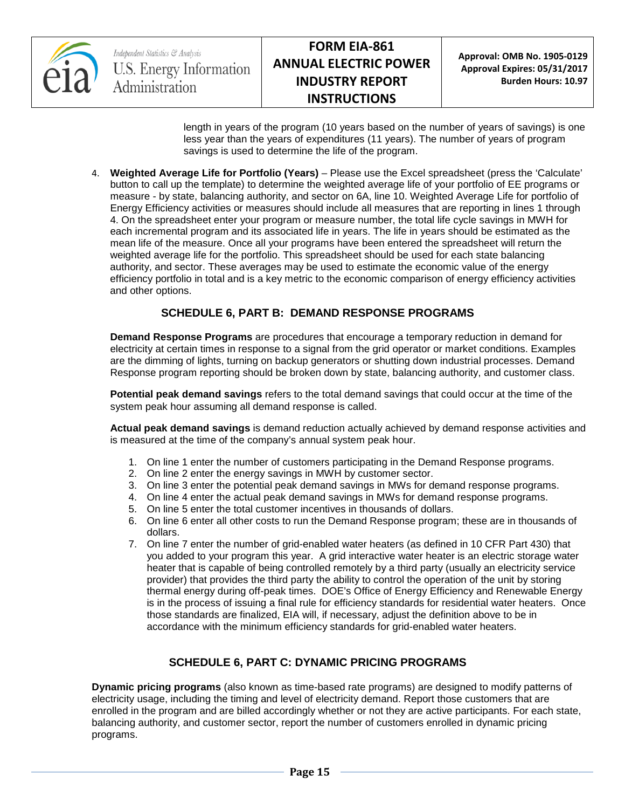

Independent Statistics & Analysis **U.S. Energy Information** Administration

**Approval: OMB No. 1905-0129 Approval Expires: 05/31/2017 Burden Hours: 10.97**

length in years of the program (10 years based on the number of years of savings) is one less year than the years of expenditures (11 years). The number of years of program savings is used to determine the life of the program.

4. **Weighted Average Life for Portfolio (Years)** – Please use the Excel spreadsheet (press the 'Calculate' button to call up the template) to determine the weighted average life of your portfolio of EE programs or measure - by state, balancing authority, and sector on 6A, line 10. Weighted Average Life for portfolio of Energy Efficiency activities or measures should include all measures that are reporting in lines 1 through 4. On the spreadsheet enter your program or measure number, the total life cycle savings in MWH for each incremental program and its associated life in years. The life in years should be estimated as the mean life of the measure. Once all your programs have been entered the spreadsheet will return the weighted average life for the portfolio. This spreadsheet should be used for each state balancing authority, and sector. These averages may be used to estimate the economic value of the energy efficiency portfolio in total and is a key metric to the economic comparison of energy efficiency activities and other options.

### **SCHEDULE 6, PART B: DEMAND RESPONSE PROGRAMS**

**Demand Response Programs** are procedures that encourage a temporary reduction in demand for electricity at certain times in response to a signal from the grid operator or market conditions. Examples are the dimming of lights, turning on backup generators or shutting down industrial processes. Demand Response program reporting should be broken down by state, balancing authority, and customer class.

**Potential peak demand savings** refers to the total demand savings that could occur at the time of the system peak hour assuming all demand response is called.

**Actual peak demand savings** is demand reduction actually achieved by demand response activities and is measured at the time of the company's annual system peak hour.

- 1. On line 1 enter the number of customers participating in the Demand Response programs.
- 2. On line 2 enter the energy savings in MWH by customer sector.
- 3. On line 3 enter the potential peak demand savings in MWs for demand response programs.
- 4. On line 4 enter the actual peak demand savings in MWs for demand response programs.
- 5. On line 5 enter the total customer incentives in thousands of dollars.
- 6. On line 6 enter all other costs to run the Demand Response program; these are in thousands of dollars.
- 7. On line 7 enter the number of grid-enabled water heaters (as defined in 10 CFR Part 430) that you added to your program this year. A grid interactive water heater is an electric storage water heater that is capable of being controlled remotely by a third party (usually an electricity service provider) that provides the third party the ability to control the operation of the unit by storing thermal energy during off-peak times. DOE's Office of Energy Efficiency and Renewable Energy is in the process of issuing a final rule for efficiency standards for residential water heaters. Once those standards are finalized, EIA will, if necessary, adjust the definition above to be in accordance with the minimum efficiency standards for grid-enabled water heaters.

### **SCHEDULE 6, PART C: DYNAMIC PRICING PROGRAMS**

**Dynamic pricing programs** (also known as time-based rate programs) are designed to modify patterns of electricity usage, including the timing and level of electricity demand. Report those customers that are enrolled in the program and are billed accordingly whether or not they are active participants. For each state, balancing authority, and customer sector, report the number of customers enrolled in dynamic pricing programs.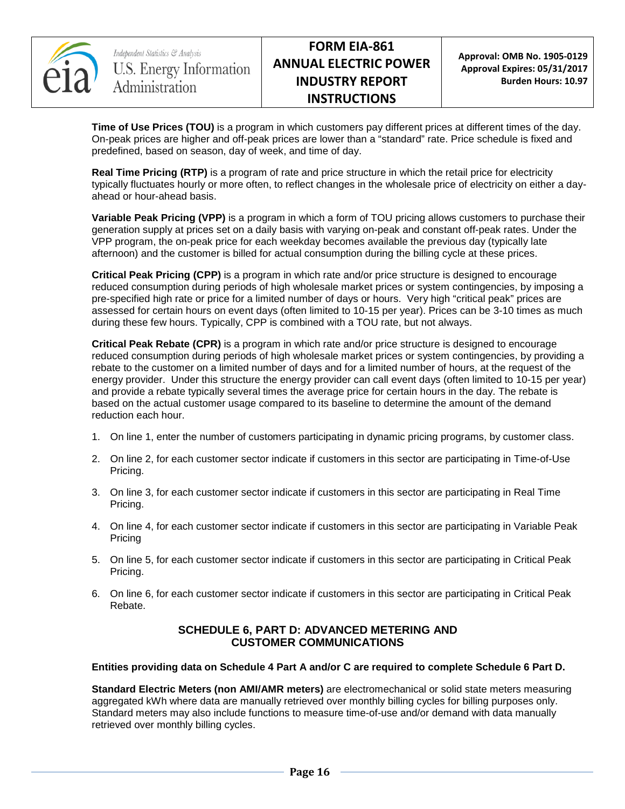

**Time of Use Prices (TOU)** is a program in which customers pay different prices at different times of the day. On-peak prices are higher and off-peak prices are lower than a "standard" rate. Price schedule is fixed and predefined, based on season, day of week, and time of day.

**Real Time Pricing (RTP)** is a program of rate and price structure in which the retail price for electricity typically fluctuates hourly or more often, to reflect changes in the wholesale price of electricity on either a dayahead or hour-ahead basis.

**Variable Peak Pricing (VPP)** is a program in which a form of TOU pricing allows customers to purchase their generation supply at prices set on a daily basis with varying on-peak and constant off-peak rates. Under the VPP program, the on-peak price for each weekday becomes available the previous day (typically late afternoon) and the customer is billed for actual consumption during the billing cycle at these prices.

**Critical Peak Pricing (CPP)** is a program in which rate and/or price structure is designed to encourage reduced consumption during periods of high wholesale market prices or system contingencies, by imposing a pre-specified high rate or price for a limited number of days or hours. Very high "critical peak" prices are assessed for certain hours on event days (often limited to 10-15 per year). Prices can be 3-10 times as much during these few hours. Typically, CPP is combined with a TOU rate, but not always.

**Critical Peak Rebate (CPR)** is a program in which rate and/or price structure is designed to encourage reduced consumption during periods of high wholesale market prices or system contingencies, by providing a rebate to the customer on a limited number of days and for a limited number of hours, at the request of the energy provider. Under this structure the energy provider can call event days (often limited to 10-15 per year) and provide a rebate typically several times the average price for certain hours in the day. The rebate is based on the actual customer usage compared to its baseline to determine the amount of the demand reduction each hour.

- 1. On line 1, enter the number of customers participating in dynamic pricing programs, by customer class.
- 2. On line 2, for each customer sector indicate if customers in this sector are participating in Time-of-Use Pricing.
- 3. On line 3, for each customer sector indicate if customers in this sector are participating in Real Time Pricing.
- 4. On line 4, for each customer sector indicate if customers in this sector are participating in Variable Peak Pricing
- 5. On line 5, for each customer sector indicate if customers in this sector are participating in Critical Peak Pricing.
- 6. On line 6, for each customer sector indicate if customers in this sector are participating in Critical Peak Rebate.

### **SCHEDULE 6, PART D: ADVANCED METERING AND CUSTOMER COMMUNICATIONS**

#### **Entities providing data on Schedule 4 Part A and/or C are required to complete Schedule 6 Part D.**

**Standard Electric Meters (non AMI/AMR meters)** are electromechanical or solid state meters measuring aggregated kWh where data are manually retrieved over monthly billing cycles for billing purposes only. Standard meters may also include functions to measure time-of-use and/or demand with data manually retrieved over monthly billing cycles.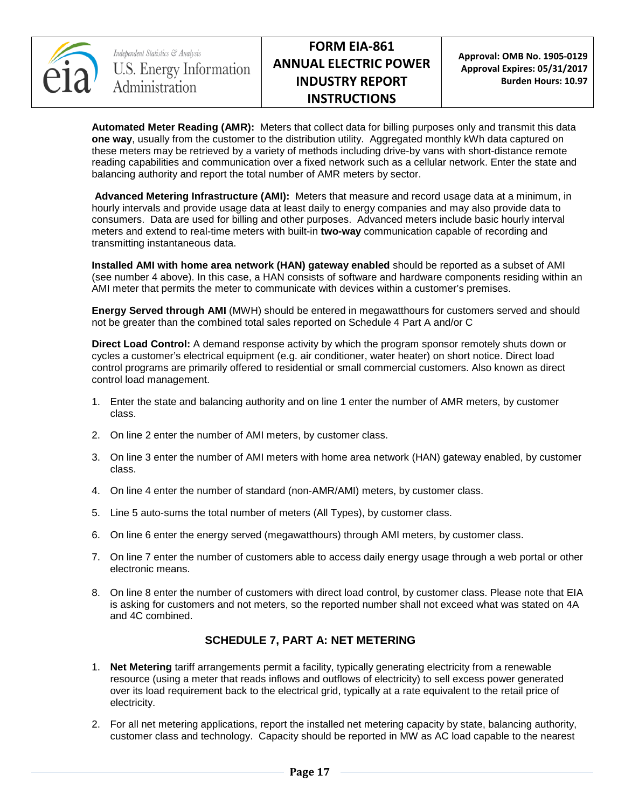

**Approval: OMB No. 1905-0129 Approval Expires: 05/31/2017 Burden Hours: 10.97**

**Automated Meter Reading (AMR):** Meters that collect data for billing purposes only and transmit this data **one way**, usually from the customer to the distribution utility. Aggregated monthly kWh data captured on these meters may be retrieved by a variety of methods including drive-by vans with short-distance remote reading capabilities and communication over a fixed network such as a cellular network. Enter the state and balancing authority and report the total number of AMR meters by sector.

**Advanced Metering Infrastructure (AMI):** Meters that measure and record usage data at a minimum, in hourly intervals and provide usage data at least daily to energy companies and may also provide data to consumers. Data are used for billing and other purposes. Advanced meters include basic hourly interval meters and extend to real-time meters with built-in **two-way** communication capable of recording and transmitting instantaneous data.

**Installed AMI with home area network (HAN) gateway enabled** should be reported as a subset of AMI (see number 4 above). In this case, a HAN consists of software and hardware components residing within an AMI meter that permits the meter to communicate with devices within a customer's premises.

**Energy Served through AMI** (MWH) should be entered in megawatthours for customers served and should not be greater than the combined total sales reported on Schedule 4 Part A and/or C

**Direct Load Control:** A demand response activity by which the program sponsor remotely shuts down or cycles a customer's electrical equipment (e.g. air conditioner, water heater) on short notice. Direct load control programs are primarily offered to residential or small commercial customers. Also known as direct control load management.

- 1. Enter the state and balancing authority and on line 1 enter the number of AMR meters, by customer class.
- 2. On line 2 enter the number of AMI meters, by customer class.
- 3. On line 3 enter the number of AMI meters with home area network (HAN) gateway enabled, by customer class.
- 4. On line 4 enter the number of standard (non-AMR/AMI) meters, by customer class.
- 5. Line 5 auto-sums the total number of meters (All Types), by customer class.
- 6. On line 6 enter the energy served (megawatthours) through AMI meters, by customer class.
- 7. On line 7 enter the number of customers able to access daily energy usage through a web portal or other electronic means.
- 8. On line 8 enter the number of customers with direct load control, by customer class. Please note that EIA is asking for customers and not meters, so the reported number shall not exceed what was stated on 4A and 4C combined.

### **SCHEDULE 7, PART A: NET METERING**

- 1. **Net Metering** tariff arrangements permit a facility, typically generating electricity from a renewable resource (using a meter that reads inflows and outflows of electricity) to sell excess power generated over its load requirement back to the electrical grid, typically at a rate equivalent to the retail price of electricity.
- 2. For all net metering applications, report the installed net metering capacity by state, balancing authority, customer class and technology. Capacity should be reported in MW as AC load capable to the nearest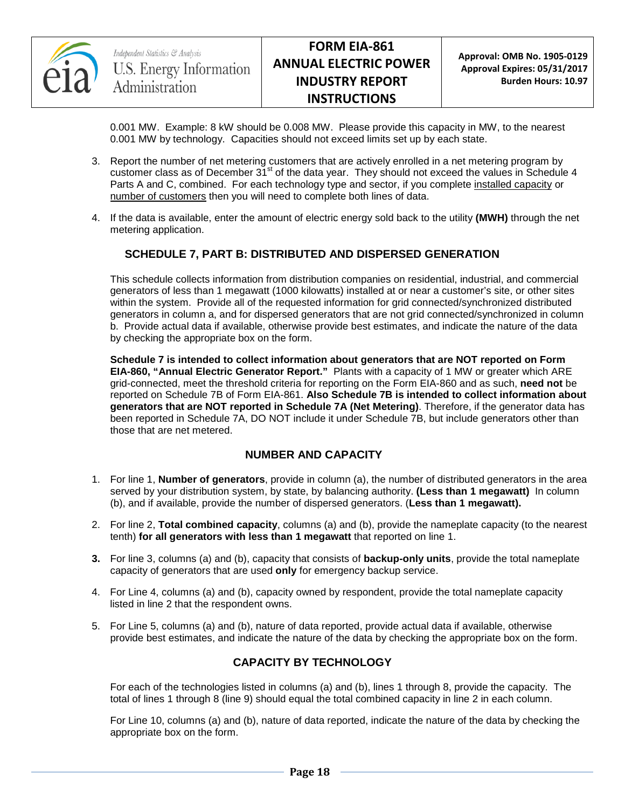

0.001 MW. Example: 8 kW should be 0.008 MW. Please provide this capacity in MW, to the nearest 0.001 MW by technology. Capacities should not exceed limits set up by each state.

- 3. Report the number of net metering customers that are actively enrolled in a net metering program by customer class as of December  $31^{st}$  of the data year. They should not exceed the values in Schedule 4 Parts A and C, combined. For each technology type and sector, if you complete installed capacity or number of customers then you will need to complete both lines of data.
- 4. If the data is available, enter the amount of electric energy sold back to the utility **(MWH)** through the net metering application.

### **SCHEDULE 7, PART B: DISTRIBUTED AND DISPERSED GENERATION**

This schedule collects information from distribution companies on residential, industrial, and commercial generators of less than 1 megawatt (1000 kilowatts) installed at or near a customer's site, or other sites within the system. Provide all of the requested information for grid connected/synchronized distributed generators in column a, and for dispersed generators that are not grid connected/synchronized in column b. Provide actual data if available, otherwise provide best estimates, and indicate the nature of the data by checking the appropriate box on the form.

**Schedule 7 is intended to collect information about generators that are NOT reported on Form EIA-860, "Annual Electric Generator Report."** Plants with a capacity of 1 MW or greater which ARE grid-connected, meet the threshold criteria for reporting on the Form EIA-860 and as such, **need not** be reported on Schedule 7B of Form EIA-861. **Also Schedule 7B is intended to collect information about generators that are NOT reported in Schedule 7A (Net Metering)**. Therefore, if the generator data has been reported in Schedule 7A, DO NOT include it under Schedule 7B, but include generators other than those that are net metered.

### **NUMBER AND CAPACITY**

- 1. For line 1, **Number of generators**, provide in column (a), the number of distributed generators in the area served by your distribution system, by state, by balancing authority. **(Less than 1 megawatt)** In column (b), and if available, provide the number of dispersed generators. (**Less than 1 megawatt).**
- 2. For line 2, **Total combined capacity**, columns (a) and (b), provide the nameplate capacity (to the nearest tenth) **for all generators with less than 1 megawatt** that reported on line 1.
- **3.** For line 3, columns (a) and (b), capacity that consists of **backup-only units**, provide the total nameplate capacity of generators that are used **only** for emergency backup service.
- 4. For Line 4, columns (a) and (b), capacity owned by respondent, provide the total nameplate capacity listed in line 2 that the respondent owns.
- 5. For Line 5, columns (a) and (b), nature of data reported, provide actual data if available, otherwise provide best estimates, and indicate the nature of the data by checking the appropriate box on the form.

### **CAPACITY BY TECHNOLOGY**

For each of the technologies listed in columns (a) and (b), lines 1 through 8, provide the capacity. The total of lines 1 through 8 (line 9) should equal the total combined capacity in line 2 in each column.

For Line 10, columns (a) and (b), nature of data reported, indicate the nature of the data by checking the appropriate box on the form.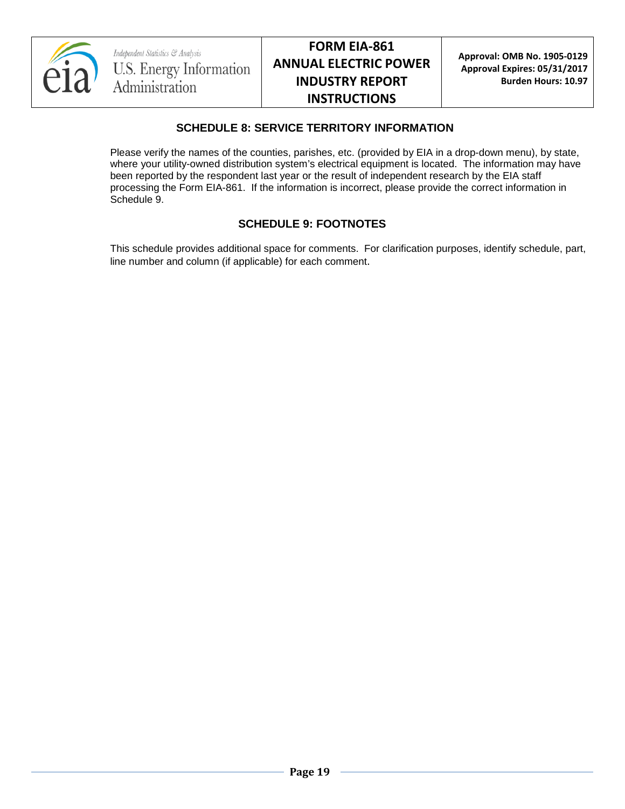

### **SCHEDULE 8: SERVICE TERRITORY INFORMATION**

Please verify the names of the counties, parishes, etc. (provided by EIA in a drop-down menu), by state, where your utility-owned distribution system's electrical equipment is located. The information may have been reported by the respondent last year or the result of independent research by the EIA staff processing the Form EIA-861. If the information is incorrect, please provide the correct information in Schedule 9.

### **SCHEDULE 9: FOOTNOTES**

This schedule provides additional space for comments. For clarification purposes, identify schedule, part, line number and column (if applicable) for each comment.